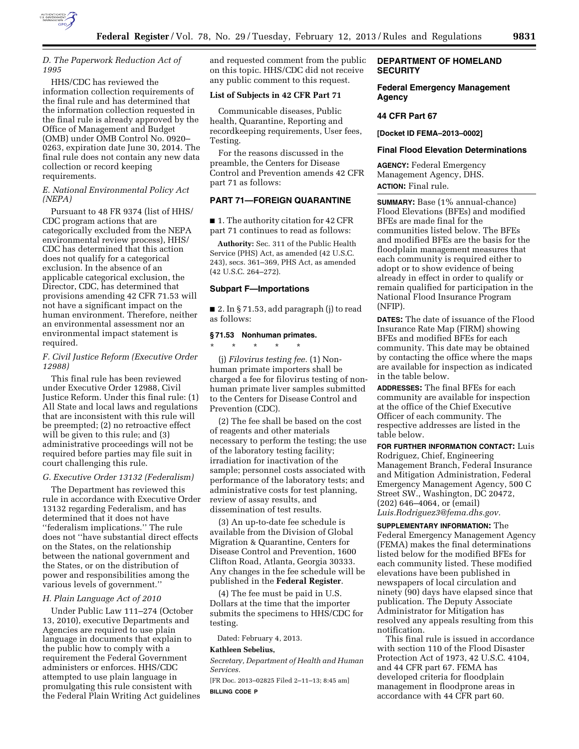

#### *D. The Paperwork Reduction Act of 1995*

HHS/CDC has reviewed the information collection requirements of the final rule and has determined that the information collection requested in the final rule is already approved by the Office of Management and Budget (OMB) under OMB Control No. 0920– 0263, expiration date June 30, 2014. The final rule does not contain any new data collection or record keeping requirements.

## *E. National Environmental Policy Act (NEPA)*

Pursuant to 48 FR 9374 (list of HHS/ CDC program actions that are categorically excluded from the NEPA environmental review process), HHS/ CDC has determined that this action does not qualify for a categorical exclusion. In the absence of an applicable categorical exclusion, the Director, CDC, has determined that provisions amending 42 CFR 71.53 will not have a significant impact on the human environment. Therefore, neither an environmental assessment nor an environmental impact statement is required.

## *F. Civil Justice Reform (Executive Order 12988)*

This final rule has been reviewed under Executive Order 12988, Civil Justice Reform. Under this final rule: (1) All State and local laws and regulations that are inconsistent with this rule will be preempted; (2) no retroactive effect will be given to this rule; and (3) administrative proceedings will not be required before parties may file suit in court challenging this rule.

## *G. Executive Order 13132 (Federalism)*

The Department has reviewed this rule in accordance with Executive Order 13132 regarding Federalism, and has determined that it does not have ''federalism implications.'' The rule does not ''have substantial direct effects on the States, on the relationship between the national government and the States, or on the distribution of power and responsibilities among the various levels of government.''

## *H. Plain Language Act of 2010*

Under Public Law 111–274 (October 13, 2010), executive Departments and Agencies are required to use plain language in documents that explain to the public how to comply with a requirement the Federal Government administers or enforces. HHS/CDC attempted to use plain language in promulgating this rule consistent with the Federal Plain Writing Act guidelines and requested comment from the public on this topic. HHS/CDC did not receive any public comment to this request.

## **List of Subjects in 42 CFR Part 71**

Communicable diseases, Public health, Quarantine, Reporting and recordkeeping requirements, User fees, Testing.

For the reasons discussed in the preamble, the Centers for Disease Control and Prevention amends 42 CFR part 71 as follows:

## **PART 71—FOREIGN QUARANTINE**

■ 1. The authority citation for 42 CFR part 71 continues to read as follows:

**Authority:** Sec. 311 of the Public Health Service (PHS) Act, as amended (42 U.S.C. 243), secs. 361–369, PHS Act, as amended (42 U.S.C. 264–272).

## **Subpart F—Importations**

 $\blacksquare$  2. In § 71.53, add paragraph (j) to read as follows:

#### **§ 71.53 Nonhuman primates.**

\* \* \* \* \* (j) *Filovirus testing fee.* (1) Non-

human primate importers shall be charged a fee for filovirus testing of nonhuman primate liver samples submitted to the Centers for Disease Control and Prevention (CDC).

(2) The fee shall be based on the cost of reagents and other materials necessary to perform the testing; the use of the laboratory testing facility; irradiation for inactivation of the sample; personnel costs associated with performance of the laboratory tests; and administrative costs for test planning, review of assay results, and dissemination of test results.

(3) An up-to-date fee schedule is available from the Division of Global Migration & Quarantine, Centers for Disease Control and Prevention, 1600 Clifton Road, Atlanta, Georgia 30333. Any changes in the fee schedule will be published in the **Federal Register**.

(4) The fee must be paid in U.S. Dollars at the time that the importer submits the specimens to HHS/CDC for testing.

Dated: February 4, 2013.

#### **Kathleen Sebelius,**

*Secretary, Department of Health and Human Services.* 

[FR Doc. 2013–02825 Filed 2–11–13; 8:45 am]

**BILLING CODE P** 

## **DEPARTMENT OF HOMELAND SECURITY**

## **Federal Emergency Management Agency**

#### **44 CFR Part 67**

**[Docket ID FEMA–2013–0002]** 

## **Final Flood Elevation Determinations**

**AGENCY:** Federal Emergency Management Agency, DHS. **ACTION:** Final rule.

**SUMMARY:** Base (1% annual-chance) Flood Elevations (BFEs) and modified BFEs are made final for the communities listed below. The BFEs and modified BFEs are the basis for the floodplain management measures that each community is required either to adopt or to show evidence of being already in effect in order to qualify or remain qualified for participation in the National Flood Insurance Program (NFIP).

**DATES:** The date of issuance of the Flood Insurance Rate Map (FIRM) showing BFEs and modified BFEs for each community. This date may be obtained by contacting the office where the maps are available for inspection as indicated in the table below.

**ADDRESSES:** The final BFEs for each community are available for inspection at the office of the Chief Executive Officer of each community. The respective addresses are listed in the table below.

**FOR FURTHER INFORMATION CONTACT:** Luis Rodriguez, Chief, Engineering Management Branch, Federal Insurance and Mitigation Administration, Federal Emergency Management Agency, 500 C Street SW., Washington, DC 20472, (202) 646–4064, or (email) *[Luis.Rodriguez3@fema.dhs.gov.](mailto:Luis.Rodriguez3@fema.dhs.gov)* 

**SUPPLEMENTARY INFORMATION:** The Federal Emergency Management Agency (FEMA) makes the final determinations listed below for the modified BFEs for each community listed. These modified elevations have been published in newspapers of local circulation and ninety (90) days have elapsed since that publication. The Deputy Associate Administrator for Mitigation has resolved any appeals resulting from this notification.

This final rule is issued in accordance with section 110 of the Flood Disaster Protection Act of 1973, 42 U.S.C. 4104, and 44 CFR part 67. FEMA has developed criteria for floodplain management in floodprone areas in accordance with 44 CFR part 60.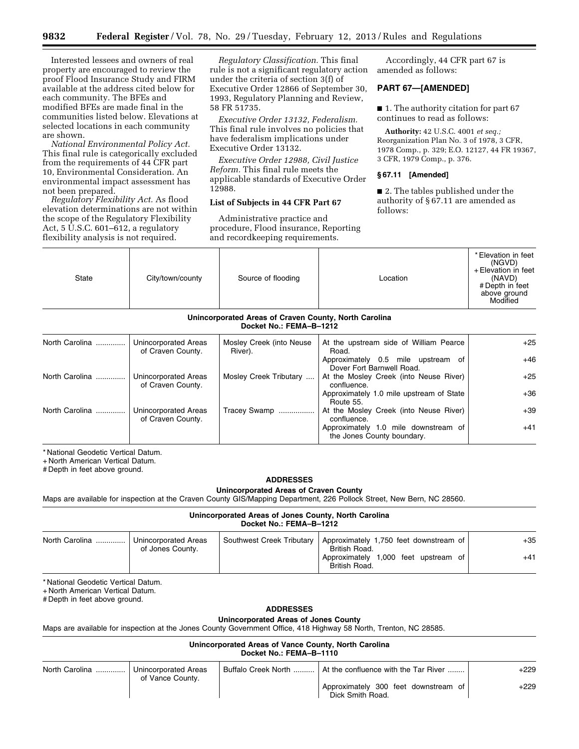Interested lessees and owners of real property are encouraged to review the proof Flood Insurance Study and FIRM available at the address cited below for each community. The BFEs and modified BFEs are made final in the communities listed below. Elevations at selected locations in each community are shown.

*National Environmental Policy Act.*  This final rule is categorically excluded from the requirements of 44 CFR part 10, Environmental Consideration. An environmental impact assessment has not been prepared.

*Regulatory Flexibility Act.* As flood elevation determinations are not within the scope of the Regulatory Flexibility Act,  $5 \overline{U}$ .S.C.  $601 - 612$ , a regulatory flexibility analysis is not required.

*Regulatory Classification.* This final rule is not a significant regulatory action under the criteria of section 3(f) of Executive Order 12866 of September 30, 1993, Regulatory Planning and Review, 58 FR 51735.

*Executive Order 13132, Federalism.*  This final rule involves no policies that have federalism implications under Executive Order 13132.

*Executive Order 12988, Civil Justice Reform.* This final rule meets the applicable standards of Executive Order 12988.

## **List of Subjects in 44 CFR Part 67**

Administrative practice and procedure, Flood insurance, Reporting and recordkeeping requirements.

Accordingly, 44 CFR part 67 is amended as follows:

## **PART 67—[AMENDED]**

■ 1. The authority citation for part 67 continues to read as follows:

**Authority:** 42 U.S.C. 4001 *et seq.;*  Reorganization Plan No. 3 of 1978, 3 CFR, 1978 Comp., p. 329; E.O. 12127, 44 FR 19367, 3 CFR, 1979 Comp., p. 376.

## **§ 67.11 [Amended]**

■ 2. The tables published under the authority of § 67.11 are amended as follows:

| State                                                                            | City/town/county                          | Source of flooding                  | Location                                                           | * Elevation in feet<br>(NGVD)<br>+ Elevation in feet<br>(NAVD)<br>#Depth in feet<br>above ground<br>Modified |
|----------------------------------------------------------------------------------|-------------------------------------------|-------------------------------------|--------------------------------------------------------------------|--------------------------------------------------------------------------------------------------------------|
| Unincorporated Areas of Craven County, North Carolina<br>Docket No.: FEMA-B-1212 |                                           |                                     |                                                                    |                                                                                                              |
| North Carolina                                                                   | Unincorporated Areas<br>of Craven County. | Mosley Creek (into Neuse<br>River). | At the upstream side of William Pearce<br>Road.                    | $+25$                                                                                                        |
|                                                                                  |                                           |                                     | Approximately 0.5 mile upstream of<br>Dover Fort Barnwell Road.    | $+46$                                                                                                        |
| North Carolina                                                                   | Unincorporated Areas<br>of Craven County. | Mosley Creek Tributary              | At the Mosley Creek (into Neuse River)<br>confluence.              | $+25$                                                                                                        |
|                                                                                  |                                           |                                     | Approximately 1.0 mile upstream of State<br>Route 55.              | $+36$                                                                                                        |
| North Carolina                                                                   | Unincorporated Areas<br>of Craven County. | Tracey Swamp                        | At the Mosley Creek (into Neuse River)<br>confluence.              | $+39$                                                                                                        |
|                                                                                  |                                           |                                     | Approximately 1.0 mile downstream of<br>the Jones County boundary. | $+41$                                                                                                        |

\* National Geodetic Vertical Datum.

+ North American Vertical Datum.

# Depth in feet above ground.

#### **ADDRESSES**

## **Unincorporated Areas of Craven County**

Maps are available for inspection at the Craven County GIS/Mapping Department, 226 Pollock Street, New Bern, NC 28560.

#### **Unincorporated Areas of Jones County, North Carolina Docket No.: FEMA–B–1212**

| North Carolina | Unincorporated Areas | Southwest Creek Tributary   Approximately 1,750 feet downstream of | $+35$ |
|----------------|----------------------|--------------------------------------------------------------------|-------|
|                | of Jones County.     | British Road.                                                      |       |
|                |                      | Approximately 1,000 feet upstream of                               | $+41$ |
|                |                      | British Road.                                                      |       |

\* National Geodetic Vertical Datum.

+ North American Vertical Datum.

# Depth in feet above ground.

#### **ADDRESSES**

## **Unincorporated Areas of Jones County**

Maps are available for inspection at the Jones County Government Office, 418 Highway 58 North, Trenton, NC 28585.

**Unincorporated Areas of Vance County, North Carolina Docket No.: FEMA–B–1110** 

| North Carolina | Unincorporated Areas | Buffalo Creek North    At the confluence with the Tar River | $+229$ |
|----------------|----------------------|-------------------------------------------------------------|--------|
|                | of Vance County.     | Approximately 300 feet downstream of<br>Dick Smith Road.    | +229   |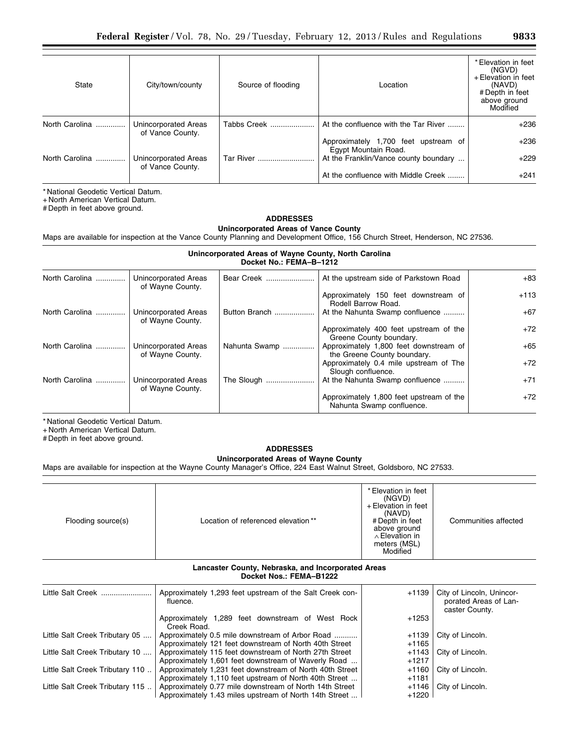| State          | City/town/county                         | Source of flooding | Location                                                     | * Elevation in feet<br>(NGVD)<br>+ Elevation in feet<br>(NAVD)<br># Depth in feet<br>above ground<br>Modified |
|----------------|------------------------------------------|--------------------|--------------------------------------------------------------|---------------------------------------------------------------------------------------------------------------|
| North Carolina | Unincorporated Areas<br>of Vance County. | Tabbs Creek        | At the confluence with the Tar River                         | $+236$                                                                                                        |
|                |                                          |                    | Approximately 1,700 feet upstream of<br>Egypt Mountain Road. | $+236$                                                                                                        |
| North Carolina | Unincorporated Areas<br>of Vance County. | Tar River          | At the Franklin/Vance county boundary                        | $+229$                                                                                                        |
|                |                                          |                    | At the confluence with Middle Creek                          | $+241$                                                                                                        |

+ North American Vertical Datum.

# Depth in feet above ground.

# **ADDRESSES**

**Unincorporated Areas of Vance County** 

Maps are available for inspection at the Vance County Planning and Development Office, 156 Church Street, Henderson, NC 27536.

| Unincorporated Areas of Wayne County, North Carolina<br>Docket No.: FEMA-B-1212 |                                          |               |                                                                       |        |
|---------------------------------------------------------------------------------|------------------------------------------|---------------|-----------------------------------------------------------------------|--------|
| North Carolina                                                                  | Unincorporated Areas<br>of Wayne County. | Bear Creek    | At the upstream side of Parkstown Road                                | $+83$  |
|                                                                                 |                                          |               | Approximately 150 feet downstream of<br>Rodell Barrow Road.           | $+113$ |
| North Carolina                                                                  | Unincorporated Areas<br>of Wayne County. | Button Branch | At the Nahunta Swamp confluence                                       | $+67$  |
|                                                                                 |                                          |               | Approximately 400 feet upstream of the<br>Greene County boundary.     | $+72$  |
| North Carolina                                                                  | Unincorporated Areas<br>of Wayne County. | Nahunta Swamp | Approximately 1,800 feet downstream of<br>the Greene County boundary. | $+65$  |
|                                                                                 |                                          |               | Approximately 0.4 mile upstream of The<br>Slough confluence.          | $+72$  |
| North Carolina                                                                  | Unincorporated Areas<br>of Wayne County. | The Slough    | At the Nahunta Swamp confluence                                       | $+71$  |
|                                                                                 |                                          |               | Approximately 1,800 feet upstream of the<br>Nahunta Swamp confluence. | $+72$  |

\* National Geodetic Vertical Datum.

+ North American Vertical Datum.

# Depth in feet above ground.

# **ADDRESSES**

**Unincorporated Areas of Wayne County** 

Maps are available for inspection at the Wayne County Manager's Office, 224 East Walnut Street, Goldsboro, NC 27533.

| Flooding source(s) | Location of referenced elevation** | * Elevation in feet<br>(NGVD)<br>+ Elevation in feet<br>(NAVD)<br># Depth in feet<br>above ground<br>∧ Elevation in<br>meters (MSL)<br>Modified | Communities affected |
|--------------------|------------------------------------|-------------------------------------------------------------------------------------------------------------------------------------------------|----------------------|

#### **Lancaster County, Nebraska, and Incorporated Areas Docket Nos.: FEMA–B1222**

| Little Salt Creek               | Approximately 1,293 feet upstream of the Salt Creek con-<br>fluence. | $+1139$ | City of Lincoln, Unincor-<br>porated Areas of Lan-<br>caster County. |
|---------------------------------|----------------------------------------------------------------------|---------|----------------------------------------------------------------------|
|                                 | Approximately 1,289 feet downstream of West Rock<br>Creek Road.      | +1253   |                                                                      |
| Little Salt Creek Tributary 05  | Approximately 0.5 mile downstream of Arbor Road                      | $+1139$ | City of Lincoln.                                                     |
|                                 | Approximately 121 feet downstream of North 40th Street               | +1165   |                                                                      |
| Little Salt Creek Tributary 10  | Approximately 115 feet downstream of North 27th Street               | +1143   | City of Lincoln.                                                     |
|                                 | Approximately 1,601 feet downstream of Waverly Road                  | +1217   |                                                                      |
| Little Salt Creek Tributary 110 | Approximately 1,231 feet downstream of North 40th Street             | +1160   | City of Lincoln.                                                     |
|                                 | Approximately 1,110 feet upstream of North 40th Street               | +1181   |                                                                      |
| Little Salt Creek Tributary 115 | Approximately 0.77 mile downstream of North 14th Street              | +1146   | City of Lincoln.                                                     |
|                                 | Approximately 1.43 miles upstream of North 14th Street               | +1220   |                                                                      |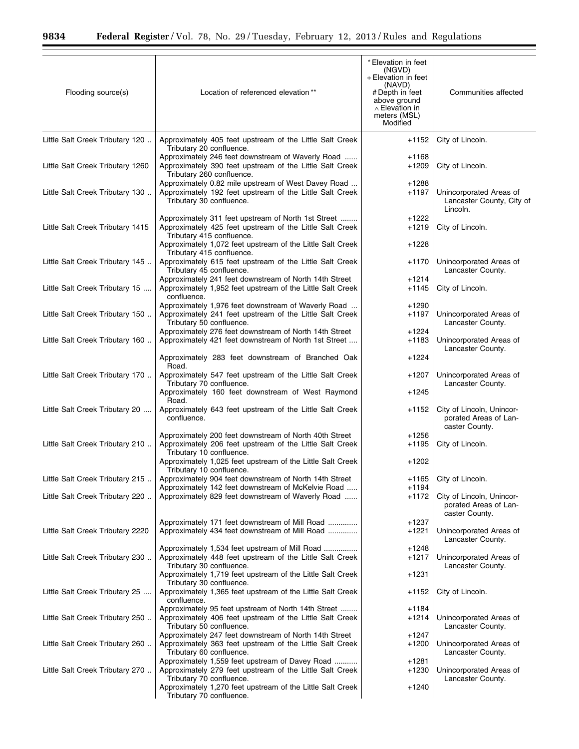÷.

| Flooding source(s)               | Location of referenced elevation**                                                                                                                 | * Elevation in feet<br>(NGVD)<br>+ Elevation in feet<br>(NAVD)<br># Depth in feet<br>above ground<br>$\wedge$ Elevation in<br>meters (MSL)<br>Modified | Communities affected                                                 |
|----------------------------------|----------------------------------------------------------------------------------------------------------------------------------------------------|--------------------------------------------------------------------------------------------------------------------------------------------------------|----------------------------------------------------------------------|
| Little Salt Creek Tributary 120  | Approximately 405 feet upstream of the Little Salt Creek                                                                                           | $+1152$                                                                                                                                                | City of Lincoln.                                                     |
|                                  | Tributary 20 confluence.                                                                                                                           |                                                                                                                                                        |                                                                      |
| Little Salt Creek Tributary 1260 | Approximately 246 feet downstream of Waverly Road<br>Approximately 390 feet upstream of the Little Salt Creek<br>Tributary 260 confluence.         | $+1168$<br>$+1209$                                                                                                                                     | City of Lincoln.                                                     |
| Little Salt Creek Tributary 130  | Approximately 0.82 mile upstream of West Davey Road<br>Approximately 192 feet upstream of the Little Salt Creek<br>Tributary 30 confluence.        | $+1288$<br>$+1197$                                                                                                                                     | Unincorporated Areas of<br>Lancaster County, City of<br>Lincoln.     |
| Little Salt Creek Tributary 1415 | Approximately 311 feet upstream of North 1st Street<br>Approximately 425 feet upstream of the Little Salt Creek<br>Tributary 415 confluence.       | $+1222$<br>$+1219$                                                                                                                                     | City of Lincoln.                                                     |
|                                  | Approximately 1,072 feet upstream of the Little Salt Creek<br>Tributary 415 confluence.                                                            | $+1228$                                                                                                                                                |                                                                      |
| Little Salt Creek Tributary 145  | Approximately 615 feet upstream of the Little Salt Creek<br>Tributary 45 confluence.                                                               | $+1170$                                                                                                                                                | Unincorporated Areas of<br>Lancaster County.                         |
| Little Salt Creek Tributary 15   | Approximately 241 feet downstream of North 14th Street<br>Approximately 1,952 feet upstream of the Little Salt Creek                               | $+1214$<br>+1145                                                                                                                                       | City of Lincoln.                                                     |
|                                  | confluence.                                                                                                                                        |                                                                                                                                                        |                                                                      |
| Little Salt Creek Tributary 150  | Approximately 1,976 feet downstream of Waverly Road<br>Approximately 241 feet upstream of the Little Salt Creek                                    | $+1290$<br>$+1197$                                                                                                                                     | Unincorporated Areas of                                              |
|                                  | Tributary 50 confluence.                                                                                                                           |                                                                                                                                                        | Lancaster County.                                                    |
| Little Salt Creek Tributary 160  | Approximately 276 feet downstream of North 14th Street<br>Approximately 421 feet downstream of North 1st Street                                    | +1224<br>$+1183$                                                                                                                                       | Unincorporated Areas of<br>Lancaster County.                         |
|                                  | Approximately 283 feet downstream of Branched Oak                                                                                                  | +1224                                                                                                                                                  |                                                                      |
| Little Salt Creek Tributary 170  | Road.<br>Approximately 547 feet upstream of the Little Salt Creek<br>Tributary 70 confluence.                                                      | +1207                                                                                                                                                  | Unincorporated Areas of<br>Lancaster County.                         |
|                                  | Approximately 160 feet downstream of West Raymond<br>Road.                                                                                         | $+1245$                                                                                                                                                |                                                                      |
| Little Salt Creek Tributary 20   | Approximately 643 feet upstream of the Little Salt Creek<br>confluence.                                                                            | $+1152$                                                                                                                                                | City of Lincoln, Unincor-<br>porated Areas of Lan-<br>caster County. |
|                                  | Approximately 200 feet downstream of North 40th Street                                                                                             | $+1256$                                                                                                                                                |                                                                      |
| Little Salt Creek Tributary 210  | Approximately 206 feet upstream of the Little Salt Creek<br>Tributary 10 confluence.<br>Approximately 1,025 feet upstream of the Little Salt Creek | +1195<br>+1202                                                                                                                                         | City of Lincoln.                                                     |
|                                  | Tributary 10 confluence.                                                                                                                           |                                                                                                                                                        |                                                                      |
| Little Salt Creek Tributary 215  | Approximately 904 feet downstream of North 14th Street<br>Approximately 142 feet downstream of McKelvie Road                                       | +1165<br>+1194                                                                                                                                         | City of Lincoln.                                                     |
| Little Salt Creek Tributary 220  | Approximately 829 feet downstream of Waverly Road                                                                                                  | +1172                                                                                                                                                  | City of Lincoln, Unincor-<br>porated Areas of Lan-<br>caster County. |
|                                  | Approximately 171 feet downstream of Mill Road                                                                                                     | +1237                                                                                                                                                  |                                                                      |
| Little Salt Creek Tributary 2220 | Approximately 434 feet downstream of Mill Road                                                                                                     | +1221                                                                                                                                                  | Unincorporated Areas of<br>Lancaster County.                         |
| Little Salt Creek Tributary 230  | Approximately 1,534 feet upstream of Mill Road<br>Approximately 448 feet upstream of the Little Salt Creek<br>Tributary 30 confluence.             | $+1248$<br>$+1217$                                                                                                                                     | Unincorporated Areas of<br>Lancaster County.                         |
|                                  | Approximately 1,719 feet upstream of the Little Salt Creek                                                                                         | +1231                                                                                                                                                  |                                                                      |
| Little Salt Creek Tributary 25   | Tributary 30 confluence.<br>Approximately 1,365 feet upstream of the Little Salt Creek<br>confluence.                                              | +1152                                                                                                                                                  | City of Lincoln.                                                     |
| Little Salt Creek Tributary 250  | Approximately 95 feet upstream of North 14th Street<br>Approximately 406 feet upstream of the Little Salt Creek                                    | +1184<br>+1214                                                                                                                                         | Unincorporated Areas of                                              |
|                                  | Tributary 50 confluence.<br>Approximately 247 feet downstream of North 14th Street                                                                 | +1247                                                                                                                                                  | Lancaster County.                                                    |
| Little Salt Creek Tributary 260  | Approximately 363 feet upstream of the Little Salt Creek<br>Tributary 60 confluence.                                                               | $+1200$                                                                                                                                                | Unincorporated Areas of<br>Lancaster County.                         |
| Little Salt Creek Tributary 270  | Approximately 1,559 feet upstream of Davey Road<br>Approximately 279 feet upstream of the Little Salt Creek                                        | +1281<br>+1230                                                                                                                                         | Unincorporated Areas of                                              |
|                                  | Tributary 70 confluence.<br>Approximately 1,270 feet upstream of the Little Salt Creek                                                             | +1240                                                                                                                                                  | Lancaster County.                                                    |
|                                  | Tributary 70 confluence.                                                                                                                           |                                                                                                                                                        |                                                                      |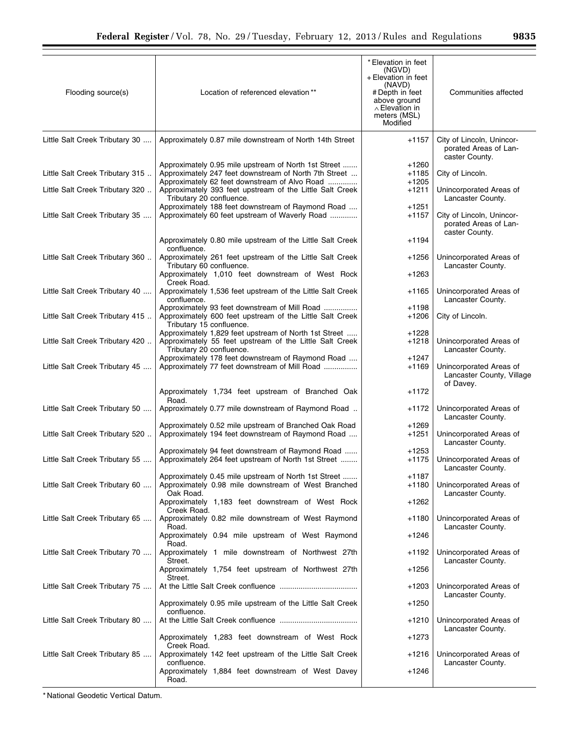| Flooding source(s)              | Location of referenced elevation**                                                                                                                             | * Elevation in feet<br>(NGVD)<br>+ Elevation in feet<br>(NAVD)<br># Depth in feet<br>above ground<br>$\wedge$ Elevation in<br>meters (MSL)<br>Modified | Communities affected                                                 |
|---------------------------------|----------------------------------------------------------------------------------------------------------------------------------------------------------------|--------------------------------------------------------------------------------------------------------------------------------------------------------|----------------------------------------------------------------------|
| Little Salt Creek Tributary 30  | Approximately 0.87 mile downstream of North 14th Street                                                                                                        | +1157                                                                                                                                                  | City of Lincoln, Unincor-<br>porated Areas of Lan-<br>caster County. |
| Little Salt Creek Tributary 315 | Approximately 0.95 mile upstream of North 1st Street<br>Approximately 247 feet downstream of North 7th Street<br>Approximately 62 feet downstream of Alvo Road | +1260<br>+1185<br>$+1205$                                                                                                                              | City of Lincoln.                                                     |
| Little Salt Creek Tributary 320 | Approximately 393 feet upstream of the Little Salt Creek<br>Tributary 20 confluence.                                                                           | $+1211$                                                                                                                                                | Unincorporated Areas of<br>Lancaster County.                         |
| Little Salt Creek Tributary 35  | Approximately 188 feet downstream of Raymond Road<br>Approximately 60 feet upstream of Waverly Road                                                            | +1251<br>+1157                                                                                                                                         | City of Lincoln, Unincor-<br>porated Areas of Lan-<br>caster County. |
|                                 | Approximately 0.80 mile upstream of the Little Salt Creek<br>confluence.                                                                                       | $+1194$                                                                                                                                                |                                                                      |
| Little Salt Creek Tributary 360 | Approximately 261 feet upstream of the Little Salt Creek<br>Tributary 60 confluence.                                                                           | $+1256$                                                                                                                                                | Unincorporated Areas of<br>Lancaster County.                         |
| Little Salt Creek Tributary 40  | Approximately 1,010 feet downstream of West Rock<br>Creek Road.<br>Approximately 1,536 feet upstream of the Little Salt Creek                                  | +1263<br>+1165                                                                                                                                         | Unincorporated Areas of                                              |
| Little Salt Creek Tributary 415 | confluence.<br>Approximately 93 feet downstream of Mill Road<br>Approximately 600 feet upstream of the Little Salt Creek                                       | $+1198$<br>+1206                                                                                                                                       | Lancaster County.<br>City of Lincoln.                                |
|                                 | Tributary 15 confluence.<br>Approximately 1,829 feet upstream of North 1st Street                                                                              | $+1228$                                                                                                                                                |                                                                      |
| Little Salt Creek Tributary 420 | Approximately 55 feet upstream of the Little Salt Creek<br>Tributary 20 confluence.<br>Approximately 178 feet downstream of Raymond Road                       | +1218<br>$+1247$                                                                                                                                       | Unincorporated Areas of<br>Lancaster County.                         |
| Little Salt Creek Tributary 45  | Approximately 77 feet downstream of Mill Road                                                                                                                  | +1169                                                                                                                                                  | Unincorporated Areas of<br>Lancaster County, Village<br>of Davey.    |
|                                 | Approximately 1,734 feet upstream of Branched Oak<br>Road.                                                                                                     | $+1172$                                                                                                                                                |                                                                      |
| Little Salt Creek Tributary 50  | Approximately 0.77 mile downstream of Raymond Road                                                                                                             | +1172                                                                                                                                                  | Unincorporated Areas of<br>Lancaster County.                         |
| Little Salt Creek Tributary 520 | Approximately 0.52 mile upstream of Branched Oak Road<br>Approximately 194 feet downstream of Raymond Road                                                     | +1269<br>+1251                                                                                                                                         | Unincorporated Areas of<br>Lancaster County.                         |
| Little Salt Creek Tributary 55  | Approximately 94 feet downstream of Raymond Road<br>Approximately 264 feet upstream of North 1st Street                                                        | +1253<br>$+1175$                                                                                                                                       | Unincorporated Areas of<br>Lancaster County.                         |
| Little Salt Creek Tributary 60  | Approximately 0.45 mile upstream of North 1st Street<br>Approximately 0.98 mile downstream of West Branched<br>Oak Road.                                       | $+1187$<br>+1180                                                                                                                                       | Unincorporated Areas of<br>Lancaster County.                         |
|                                 | Approximately 1,183 feet downstream of West Rock<br>Creek Road.                                                                                                | +1262                                                                                                                                                  |                                                                      |
| Little Salt Creek Tributary 65  | Approximately 0.82 mile downstream of West Raymond<br>Road.                                                                                                    | +1180                                                                                                                                                  | Unincorporated Areas of<br>Lancaster County.                         |
|                                 | Approximately 0.94 mile upstream of West Raymond<br>Road.                                                                                                      | +1246                                                                                                                                                  |                                                                      |
| Little Salt Creek Tributary 70  | Approximately 1 mile downstream of Northwest 27th<br>Street.<br>Approximately 1,754 feet upstream of Northwest 27th                                            | +1192<br>+1256                                                                                                                                         | Unincorporated Areas of<br>Lancaster County.                         |
| Little Salt Creek Tributary 75  | Street.                                                                                                                                                        | +1203                                                                                                                                                  | Unincorporated Areas of                                              |
|                                 | Approximately 0.95 mile upstream of the Little Salt Creek                                                                                                      | $+1250$                                                                                                                                                | Lancaster County.                                                    |
| Little Salt Creek Tributary 80  | confluence.                                                                                                                                                    | +1210                                                                                                                                                  | Unincorporated Areas of<br>Lancaster County.                         |
|                                 | Approximately 1,283 feet downstream of West Rock<br>Creek Road.                                                                                                | +1273                                                                                                                                                  |                                                                      |
| Little Salt Creek Tributary 85  | Approximately 142 feet upstream of the Little Salt Creek<br>confluence.                                                                                        | +1216                                                                                                                                                  | Unincorporated Areas of<br>Lancaster County.                         |
|                                 | Approximately 1,884 feet downstream of West Davey<br>Road.                                                                                                     | $+1246$                                                                                                                                                |                                                                      |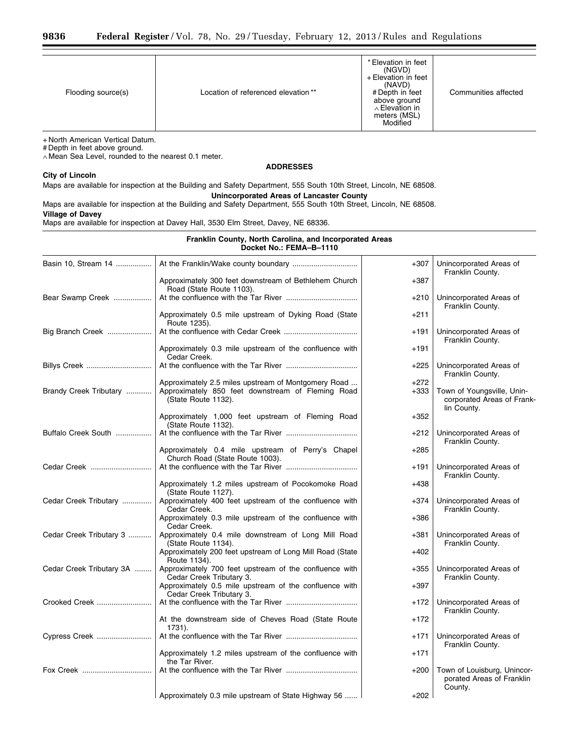| Flooding source(s) | Location of referenced elevation** | * Elevation in feet<br>(NGVD)<br>+ Elevation in feet<br>(NAVD)<br># Depth in feet<br>above ground<br>$\wedge$ Elevation in<br>meters (MSL)<br>Modified | Communities affected |
|--------------------|------------------------------------|--------------------------------------------------------------------------------------------------------------------------------------------------------|----------------------|

+ North American Vertical Datum.

# Depth in feet above ground.

∧ Mean Sea Level, rounded to the nearest 0.1 meter.

## **ADDRESSES**

## **City of Lincoln**

## Maps are available for inspection at the Building and Safety Department, 555 South 10th Street, Lincoln, NE 68508. **Unincorporated Areas of Lancaster County**

Maps are available for inspection at the Building and Safety Department, 555 South 10th Street, Lincoln, NE 68508. **Village of Davey** 

Maps are available for inspection at Davey Hall, 3530 Elm Street, Davey, NE 68336.

## **Franklin County, North Carolina, and Incorporated Areas Docket No.: FEMA–B–1110**

| Basin 10, Stream 14      |                                                                                      | $+307$ | Unincorporated Areas of<br>Franklin County.                             |
|--------------------------|--------------------------------------------------------------------------------------|--------|-------------------------------------------------------------------------|
|                          | Approximately 300 feet downstream of Bethlehem Church<br>Road (State Route 1103).    | $+387$ |                                                                         |
| Bear Swamp Creek         |                                                                                      | $+210$ | Unincorporated Areas of<br>Franklin County.                             |
|                          | Approximately 0.5 mile upstream of Dyking Road (State<br>Route 1235).                | $+211$ |                                                                         |
| Big Branch Creek         |                                                                                      | $+191$ | Unincorporated Areas of<br>Franklin County.                             |
|                          | Approximately 0.3 mile upstream of the confluence with<br>Cedar Creek.               | $+191$ |                                                                         |
| Billys Creek             |                                                                                      | $+225$ | Unincorporated Areas of<br>Franklin County.                             |
|                          | Approximately 2.5 miles upstream of Montgomery Road                                  | $+272$ |                                                                         |
| Brandy Creek Tributary   | Approximately 850 feet downstream of Fleming Road<br>(State Route 1132).             | $+333$ | Town of Youngsville, Unin-<br>corporated Areas of Frank-<br>lin County. |
|                          | Approximately 1,000 feet upstream of Fleming Road<br>(State Route 1132).             | $+352$ |                                                                         |
| Buffalo Creek South      |                                                                                      | $+212$ | Unincorporated Areas of<br>Franklin County.                             |
|                          | Approximately 0.4 mile upstream of Perry's Chapel<br>Church Road (State Route 1003). | $+285$ |                                                                         |
| Cedar Creek              |                                                                                      | $+191$ | Unincorporated Areas of<br>Franklin County.                             |
|                          | Approximately 1.2 miles upstream of Pocokomoke Road<br>(State Route 1127).           | $+438$ |                                                                         |
| Cedar Creek Tributary    | Approximately 400 feet upstream of the confluence with<br>Cedar Creek.               | $+374$ | Unincorporated Areas of<br>Franklin County.                             |
|                          | Approximately 0.3 mile upstream of the confluence with<br>Cedar Creek.               | $+386$ |                                                                         |
| Cedar Creek Tributary 3  | Approximately 0.4 mile downstream of Long Mill Road<br>(State Route 1134).           | $+381$ | Unincorporated Areas of<br>Franklin County.                             |
|                          | Approximately 200 feet upstream of Long Mill Road (State<br>Route 1134).             | $+402$ |                                                                         |
| Cedar Creek Tributary 3A | Approximately 700 feet upstream of the confluence with<br>Cedar Creek Tributary 3.   | $+355$ | Unincorporated Areas of<br>Franklin County.                             |
|                          | Approximately 0.5 mile upstream of the confluence with<br>Cedar Creek Tributary 3.   | $+397$ |                                                                         |
| Crooked Creek            |                                                                                      | $+172$ | Unincorporated Areas of<br>Franklin County.                             |
|                          | At the downstream side of Cheves Road (State Route<br>$1731$ ).                      | $+172$ |                                                                         |
| Cypress Creek            |                                                                                      | $+171$ | Unincorporated Areas of<br>Franklin County.                             |
|                          | Approximately 1.2 miles upstream of the confluence with<br>the Tar River.            | $+171$ |                                                                         |
| Fox Creek                |                                                                                      | $+200$ | Town of Louisburg, Unincor-<br>porated Areas of Franklin<br>County.     |
|                          | Approximately 0.3 mile upstream of State Highway 56                                  | $+202$ |                                                                         |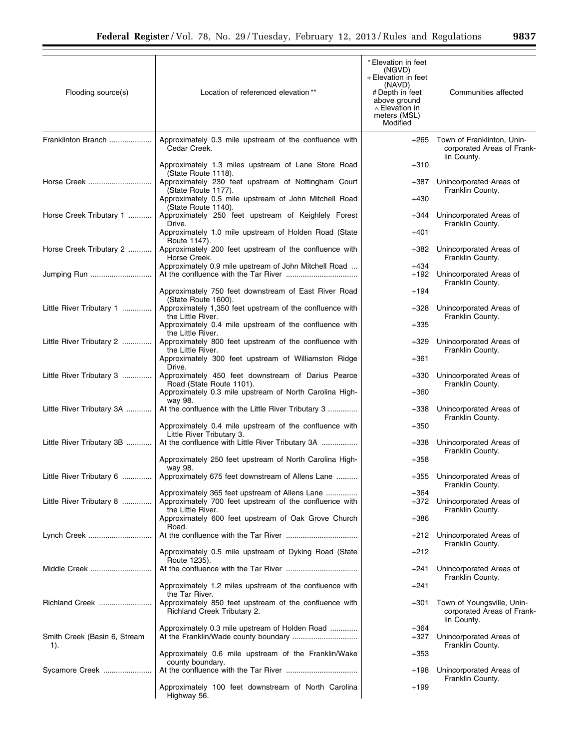| Flooding source(s)           | Location of referenced elevation**                                                                                              | * Elevation in feet<br>(NGVD)<br>+ Elevation in feet<br>(NAVD)<br>#Depth in feet<br>above ground<br>$\wedge$ Elevation in<br>meters (MSL)<br>Modified | Communities affected                                                    |
|------------------------------|---------------------------------------------------------------------------------------------------------------------------------|-------------------------------------------------------------------------------------------------------------------------------------------------------|-------------------------------------------------------------------------|
| Franklinton Branch           | Approximately 0.3 mile upstream of the confluence with<br>Cedar Creek.                                                          | $+265$                                                                                                                                                | Town of Franklinton, Unin-<br>corporated Areas of Frank-<br>lin County. |
|                              | Approximately 1.3 miles upstream of Lane Store Road<br>(State Route 1118).                                                      | $+310$                                                                                                                                                |                                                                         |
| Horse Creek                  | Approximately 230 feet upstream of Nottingham Court<br>(State Route 1177).                                                      | $+387$                                                                                                                                                | Unincorporated Areas of<br>Franklin County.                             |
|                              | Approximately 0.5 mile upstream of John Mitchell Road<br>(State Route 1140).                                                    | $+430$                                                                                                                                                |                                                                         |
| Horse Creek Tributary 1      | Approximately 250 feet upstream of Keighlely Forest<br>Drive.                                                                   | +344                                                                                                                                                  | Unincorporated Areas of<br>Franklin County.                             |
| Horse Creek Tributary 2      | Approximately 1.0 mile upstream of Holden Road (State<br>Route 1147).<br>Approximately 200 feet upstream of the confluence with | $+401$<br>+382                                                                                                                                        | Unincorporated Areas of                                                 |
|                              | Horse Creek.<br>Approximately 0.9 mile upstream of John Mitchell Road                                                           | +434                                                                                                                                                  | Franklin County.                                                        |
| Jumping Run                  |                                                                                                                                 | +192                                                                                                                                                  | Unincorporated Areas of<br>Franklin County.                             |
|                              | Approximately 750 feet downstream of East River Road<br>(State Route 1600).                                                     | $+194$                                                                                                                                                |                                                                         |
| Little River Tributary 1     | Approximately 1,350 feet upstream of the confluence with<br>the Little River.                                                   | $+328$                                                                                                                                                | Unincorporated Areas of<br>Franklin County.                             |
|                              | Approximately 0.4 mile upstream of the confluence with<br>the Little River.                                                     | $+335$                                                                                                                                                |                                                                         |
| Little River Tributary 2     | Approximately 800 feet upstream of the confluence with<br>the Little River.                                                     | $+329$                                                                                                                                                | Unincorporated Areas of<br>Franklin County.                             |
| Little River Tributary 3     | Approximately 300 feet upstream of Williamston Ridge<br>Drive.<br>Approximately 450 feet downstream of Darius Pearce            | +361<br>$+330$                                                                                                                                        | Unincorporated Areas of                                                 |
|                              | Road (State Route 1101).<br>Approximately 0.3 mile upstream of North Carolina High-                                             | $+360$                                                                                                                                                | Franklin County.                                                        |
| Little River Tributary 3A    | way 98.<br>At the confluence with the Little River Tributary 3                                                                  | $+338$                                                                                                                                                | Unincorporated Areas of<br>Franklin County.                             |
|                              | Approximately 0.4 mile upstream of the confluence with<br>Little River Tributary 3.                                             | $+350$                                                                                                                                                |                                                                         |
| Little River Tributary 3B    | At the confluence with Little River Tributary 3A                                                                                | $+338$                                                                                                                                                | Unincorporated Areas of<br>Franklin County.                             |
|                              | Approximately 250 feet upstream of North Carolina High-<br>way 98.                                                              | $+358$                                                                                                                                                |                                                                         |
| Little River Tributary 6     | Approximately 675 feet downstream of Allens Lane                                                                                | $+355$                                                                                                                                                | Unincorporated Areas of<br>Franklin County.                             |
| Little River Tributary 8     | Approximately 365 feet upstream of Allens Lane<br>Approximately 700 feet upstream of the confluence with<br>the Little River.   | +364<br>$+372$                                                                                                                                        | Unincorporated Areas of<br>Franklin County.                             |
|                              | Approximately 600 feet upstream of Oak Grove Church<br>Road.                                                                    | +386                                                                                                                                                  |                                                                         |
| Lynch Creek                  |                                                                                                                                 | +212                                                                                                                                                  | Unincorporated Areas of<br>Franklin County.                             |
| Middle Creek                 | Approximately 0.5 mile upstream of Dyking Road (State<br>Route 1235).                                                           | +212<br>+241                                                                                                                                          | Unincorporated Areas of                                                 |
|                              | Approximately 1.2 miles upstream of the confluence with                                                                         | +241                                                                                                                                                  | Franklin County.                                                        |
| Richland Creek               | the Tar River.<br>Approximately 850 feet upstream of the confluence with<br>Richland Creek Tributary 2.                         | +301                                                                                                                                                  | Town of Youngsville, Unin-<br>corporated Areas of Frank-                |
| Smith Creek (Basin 6, Stream | Approximately 0.3 mile upstream of Holden Road                                                                                  | +364<br>$+327$                                                                                                                                        | lin County.<br>Unincorporated Areas of                                  |
| 1).                          | Approximately 0.6 mile upstream of the Franklin/Wake                                                                            | $+353$                                                                                                                                                | Franklin County.                                                        |
| Sycamore Creek               | county boundary.                                                                                                                | +198                                                                                                                                                  | Unincorporated Areas of                                                 |
|                              | Approximately 100 feet downstream of North Carolina<br>Highway 56.                                                              | $+199$                                                                                                                                                | Franklin County.                                                        |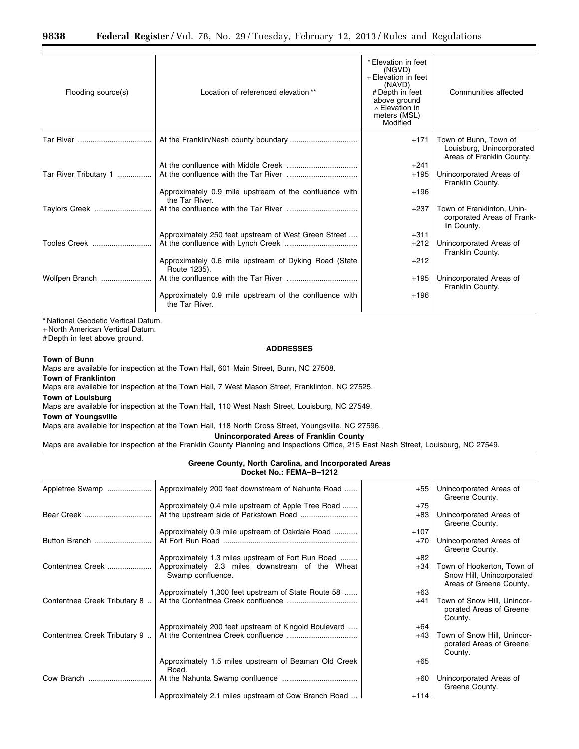| Flooding source(s)    | Location of referenced elevation**                                       | * Elevation in feet<br>(NGVD)<br>+ Elevation in feet<br>(NAVD)<br># Depth in feet<br>above ground<br>$\land$ Elevation in<br>meters (MSL)<br>Modified | Communities affected                                                            |
|-----------------------|--------------------------------------------------------------------------|-------------------------------------------------------------------------------------------------------------------------------------------------------|---------------------------------------------------------------------------------|
|                       |                                                                          | $+171$                                                                                                                                                | Town of Bunn, Town of<br>Louisburg, Unincorporated<br>Areas of Franklin County. |
|                       |                                                                          | $+241$                                                                                                                                                |                                                                                 |
| Tar River Tributary 1 |                                                                          | $+195$                                                                                                                                                | Unincorporated Areas of<br>Franklin County.                                     |
|                       | Approximately 0.9 mile upstream of the confluence with<br>the Tar River. | $+196$                                                                                                                                                |                                                                                 |
| Taylors Creek         |                                                                          | $+237$                                                                                                                                                | Town of Franklinton, Unin-<br>corporated Areas of Frank-<br>lin County.         |
|                       | Approximately 250 feet upstream of West Green Street                     | $+311$                                                                                                                                                |                                                                                 |
| Tooles Creek          |                                                                          | $+212$                                                                                                                                                | Unincorporated Areas of<br>Franklin County.                                     |
|                       | Approximately 0.6 mile upstream of Dyking Road (State<br>Route 1235).    | $+212$                                                                                                                                                |                                                                                 |
| Wolfpen Branch        |                                                                          | $+195$                                                                                                                                                | Unincorporated Areas of<br>Franklin County.                                     |
|                       | Approximately 0.9 mile upstream of the confluence with<br>the Tar River. | $+196$                                                                                                                                                |                                                                                 |

+ North American Vertical Datum.

# Depth in feet above ground.

## **ADDRESSES**

**Town of Bunn** 

Maps are available for inspection at the Town Hall, 601 Main Street, Bunn, NC 27508.

**Town of Franklinton** 

Maps are available for inspection at the Town Hall, 7 West Mason Street, Franklinton, NC 27525.

**Town of Louisburg** 

Maps are available for inspection at the Town Hall, 110 West Nash Street, Louisburg, NC 27549.

**Town of Youngsville** 

Maps are available for inspection at the Town Hall, 118 North Cross Street, Youngsville, NC 27596.

**Unincorporated Areas of Franklin County** 

Maps are available for inspection at the Franklin County Planning and Inspections Office, 215 East Nash Street, Louisburg, NC 27549.

## **Greene County, North Carolina, and Incorporated Areas Docket No.: FEMA–B–1212**

| Appletree Swamp              | Approximately 200 feet downstream of Nahunta Road                    | +55    | Unincorporated Areas of<br>Greene County.                                          |
|------------------------------|----------------------------------------------------------------------|--------|------------------------------------------------------------------------------------|
|                              | Approximately 0.4 mile upstream of Apple Tree Road                   | $+75$  |                                                                                    |
|                              |                                                                      | $+83$  | Unincorporated Areas of<br>Greene County.                                          |
|                              | Approximately 0.9 mile upstream of Oakdale Road                      | $+107$ |                                                                                    |
| Button Branch                |                                                                      | $+70$  | Unincorporated Areas of<br>Greene County.                                          |
|                              | Approximately 1.3 miles upstream of Fort Run Road                    | $+82$  |                                                                                    |
| Contentnea Creek             | Approximately 2.3 miles downstream of the Wheat<br>Swamp confluence. | +34    | Town of Hookerton, Town of<br>Snow Hill, Unincorporated<br>Areas of Greene County. |
|                              | Approximately 1,300 feet upstream of State Route 58                  | $+63$  |                                                                                    |
| Contentnea Creek Tributary 8 |                                                                      | +41    | Town of Snow Hill, Unincor-<br>porated Areas of Greene<br>County.                  |
|                              | Approximately 200 feet upstream of Kingold Boulevard                 | $+64$  |                                                                                    |
| Contentnea Creek Tributary 9 |                                                                      | $+43$  | Town of Snow Hill, Unincor-<br>porated Areas of Greene<br>County.                  |
|                              | Approximately 1.5 miles upstream of Beaman Old Creek<br>Road.        | $+65$  |                                                                                    |
| Cow Branch                   |                                                                      | $+60$  | Unincorporated Areas of<br>Greene County.                                          |
|                              | Approximately 2.1 miles upstream of Cow Branch Road                  | $+114$ |                                                                                    |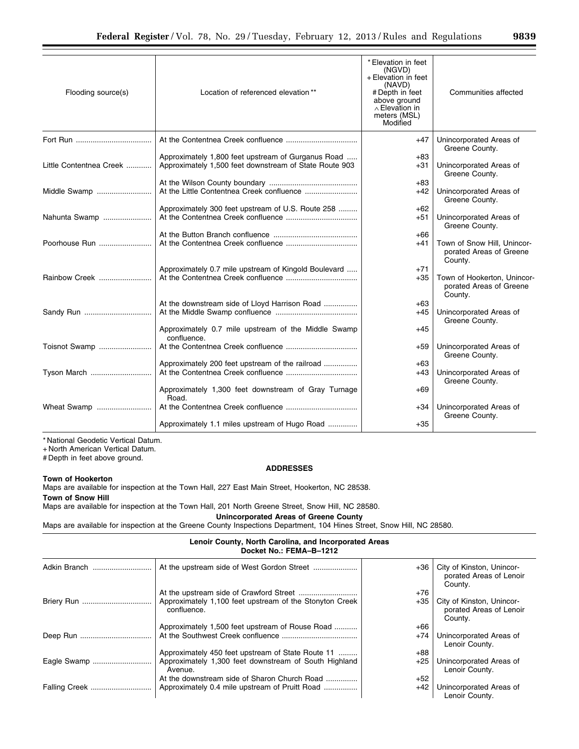| Flooding source(s)      | Location of referenced elevation**                                                                           | * Elevation in feet<br>(NGVD)<br>+ Elevation in feet<br>(NAVD)<br># Depth in feet<br>above ground<br>$\wedge$ Elevation in<br>meters (MSL)<br>Modified | Communities affected                                              |
|-------------------------|--------------------------------------------------------------------------------------------------------------|--------------------------------------------------------------------------------------------------------------------------------------------------------|-------------------------------------------------------------------|
|                         |                                                                                                              | $+47$                                                                                                                                                  | Unincorporated Areas of<br>Greene County.                         |
| Little Contentnea Creek | Approximately 1,800 feet upstream of Gurganus Road<br>Approximately 1,500 feet downstream of State Route 903 | $+83$<br>$+31$                                                                                                                                         | Unincorporated Areas of<br>Greene County.                         |
| Middle Swamp            |                                                                                                              | $+83$<br>$+42$                                                                                                                                         | Unincorporated Areas of<br>Greene County.                         |
|                         | Approximately 300 feet upstream of U.S. Route 258                                                            | $+62$                                                                                                                                                  |                                                                   |
| Nahunta Swamp           |                                                                                                              | $+51$                                                                                                                                                  | Unincorporated Areas of<br>Greene County.                         |
|                         |                                                                                                              | $+66$                                                                                                                                                  |                                                                   |
| Poorhouse Run           |                                                                                                              | $+41$                                                                                                                                                  | Town of Snow Hill. Unincor-<br>porated Areas of Greene<br>County. |
|                         | Approximately 0.7 mile upstream of Kingold Boulevard                                                         | $+71$                                                                                                                                                  |                                                                   |
| Rainbow Creek           |                                                                                                              | $+35$                                                                                                                                                  | Town of Hookerton, Unincor-<br>porated Areas of Greene<br>County. |
|                         | At the downstream side of Lloyd Harrison Road                                                                | $+63$                                                                                                                                                  |                                                                   |
|                         |                                                                                                              | $+45$                                                                                                                                                  | Unincorporated Areas of<br>Greene County.                         |
|                         | Approximately 0.7 mile upstream of the Middle Swamp<br>confluence.                                           | $+45$                                                                                                                                                  |                                                                   |
| Toisnot Swamp           |                                                                                                              | $+59$                                                                                                                                                  | Unincorporated Areas of<br>Greene County.                         |
|                         | Approximately 200 feet upstream of the railroad                                                              | $+63$                                                                                                                                                  |                                                                   |
| Tyson March             |                                                                                                              | $+43$                                                                                                                                                  | Unincorporated Areas of<br>Greene County.                         |
|                         | Approximately 1,300 feet downstream of Gray Turnage<br>Road.                                                 | $+69$                                                                                                                                                  |                                                                   |
| Wheat Swamp             |                                                                                                              | $+34$                                                                                                                                                  | Unincorporated Areas of<br>Greene County.                         |
|                         | Approximately 1.1 miles upstream of Hugo Road                                                                | $+35$                                                                                                                                                  |                                                                   |

+ North American Vertical Datum.

# Depth in feet above ground.

## **ADDRESSES**

**Town of Hookerton**  Maps are available for inspection at the Town Hall, 227 East Main Street, Hookerton, NC 28538.

**Town of Snow Hill** 

Maps are available for inspection at the Town Hall, 201 North Greene Street, Snow Hill, NC 28580.

**Unincorporated Areas of Greene County** 

Maps are available for inspection at the Greene County Inspections Department, 104 Hines Street, Snow Hill, NC 28580.

## **Lenoir County, North Carolina, and Incorporated Areas Docket No.: FEMA–B–1212**

| Adkin Branch  |                                                                        | $+36$ | City of Kinston, Unincor-<br>porated Areas of Lenoir<br>County. |
|---------------|------------------------------------------------------------------------|-------|-----------------------------------------------------------------|
|               |                                                                        | $+76$ |                                                                 |
|               | Approximately 1,100 feet upstream of the Stonyton Creek<br>confluence. | $+35$ | City of Kinston, Unincor-<br>porated Areas of Lenoir<br>County. |
|               | Approximately 1,500 feet upstream of Rouse Road                        | $+66$ |                                                                 |
|               |                                                                        | $+74$ | Unincorporated Areas of<br>Lenoir County.                       |
|               | Approximately 450 feet upstream of State Route 11                      | $+88$ |                                                                 |
|               | Approximately 1,300 feet downstream of South Highland<br>Avenue.       | $+25$ | Unincorporated Areas of<br>Lenoir County.                       |
|               | At the downstream side of Sharon Church Road                           | $+52$ |                                                                 |
| Falling Creek | Approximately 0.4 mile upstream of Pruitt Road                         | $+42$ | Unincorporated Areas of<br>Lenoir County.                       |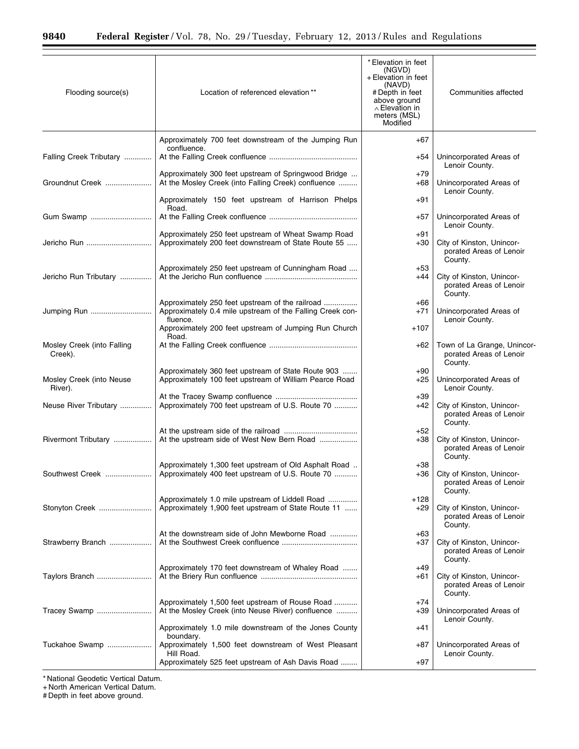| Flooding source(s)                    | Location of referenced elevation**                                                                                       | * Elevation in feet<br>(NGVD)<br>+ Elevation in feet<br>(NAVD)<br># Depth in feet<br>above ground<br>$\wedge$ Elevation in<br>meters (MSL)<br>Modified | Communities affected                                                  |
|---------------------------------------|--------------------------------------------------------------------------------------------------------------------------|--------------------------------------------------------------------------------------------------------------------------------------------------------|-----------------------------------------------------------------------|
|                                       | Approximately 700 feet downstream of the Jumping Run                                                                     | $+67$                                                                                                                                                  |                                                                       |
| Falling Creek Tributary               | confluence.                                                                                                              | +54                                                                                                                                                    | Unincorporated Areas of<br>Lenoir County.                             |
| Groundnut Creek                       | Approximately 300 feet upstream of Springwood Bridge<br>At the Mosley Creek (into Falling Creek) confluence              | $+79$<br>$+68$                                                                                                                                         | Unincorporated Areas of<br>Lenoir County.                             |
|                                       | Approximately 150 feet upstream of Harrison Phelps<br>Road.                                                              | $+91$                                                                                                                                                  |                                                                       |
| Gum Swamp                             |                                                                                                                          | $+57$                                                                                                                                                  | Unincorporated Areas of<br>Lenoir County.                             |
| Jericho Run                           | Approximately 250 feet upstream of Wheat Swamp Road<br>Approximately 200 feet downstream of State Route 55               | $+91$<br>$+30$                                                                                                                                         | City of Kinston, Unincor-<br>porated Areas of Lenoir<br>County.       |
| Jericho Run Tributary                 | Approximately 250 feet upstream of Cunningham Road                                                                       | $+53$<br>+44                                                                                                                                           | City of Kinston, Unincor-<br>porated Areas of Lenoir<br>County.       |
| Jumping Run                           | Approximately 250 feet upstream of the railroad<br>Approximately 0.4 mile upstream of the Falling Creek con-<br>fluence. | $+66$<br>$+71$                                                                                                                                         | Unincorporated Areas of<br>Lenoir County.                             |
|                                       | Approximately 200 feet upstream of Jumping Run Church<br>Road.                                                           | +107                                                                                                                                                   |                                                                       |
| Mosley Creek (into Falling<br>Creek). |                                                                                                                          | $+62$                                                                                                                                                  | Town of La Grange, Unincor-<br>porated Areas of Lenoir<br>County.     |
| Mosley Creek (into Neuse<br>River).   | Approximately 360 feet upstream of State Route 903<br>Approximately 100 feet upstream of William Pearce Road             | $+90$<br>$+25$                                                                                                                                         | Unincorporated Areas of<br>Lenoir County.                             |
| Neuse River Tributary                 | Approximately 700 feet upstream of U.S. Route 70                                                                         | $+39$<br>+42                                                                                                                                           | City of Kinston, Unincor-<br>porated Areas of Lenoir<br>County.       |
| Rivermont Tributary                   | At the upstream side of West New Bern Road                                                                               | $+52$<br>$+38$                                                                                                                                         | City of Kinston, Unincor-<br>porated Areas of Lenoir<br>County.       |
|                                       | Approximately 1,300 feet upstream of Old Asphalt Road<br>Approximately 400 feet upstream of U.S. Route 70                | +38                                                                                                                                                    | +36   City of Kinston, Unincor-<br>porated Areas of Lenoir<br>County. |
| Stonyton Creek                        | Approximately 1.0 mile upstream of Liddell Road<br>Approximately 1,900 feet upstream of State Route 11                   | +128<br>+29                                                                                                                                            | City of Kinston, Unincor-<br>porated Areas of Lenoir<br>County.       |
| Strawberry Branch                     | At the downstream side of John Mewborne Road                                                                             | +63<br>+37                                                                                                                                             | City of Kinston, Unincor-<br>porated Areas of Lenoir<br>County.       |
| Taylors Branch                        | Approximately 170 feet downstream of Whaley Road                                                                         | +49<br>+61                                                                                                                                             | City of Kinston, Unincor-<br>porated Areas of Lenoir<br>County.       |
| Tracey Swamp                          | Approximately 1,500 feet upstream of Rouse Road<br>At the Mosley Creek (into Neuse River) confluence                     | $+74$<br>$+39$                                                                                                                                         | Unincorporated Areas of<br>Lenoir County.                             |
|                                       | Approximately 1.0 mile downstream of the Jones County<br>boundary.                                                       | $+41$                                                                                                                                                  |                                                                       |
| Tuckahoe Swamp                        | Approximately 1,500 feet downstream of West Pleasant<br>Hill Road.<br>Approximately 525 feet upstream of Ash Davis Road  | +87<br>$+97$                                                                                                                                           | Unincorporated Areas of<br>Lenoir County.                             |
|                                       |                                                                                                                          |                                                                                                                                                        |                                                                       |

+ North American Vertical Datum.

# Depth in feet above ground.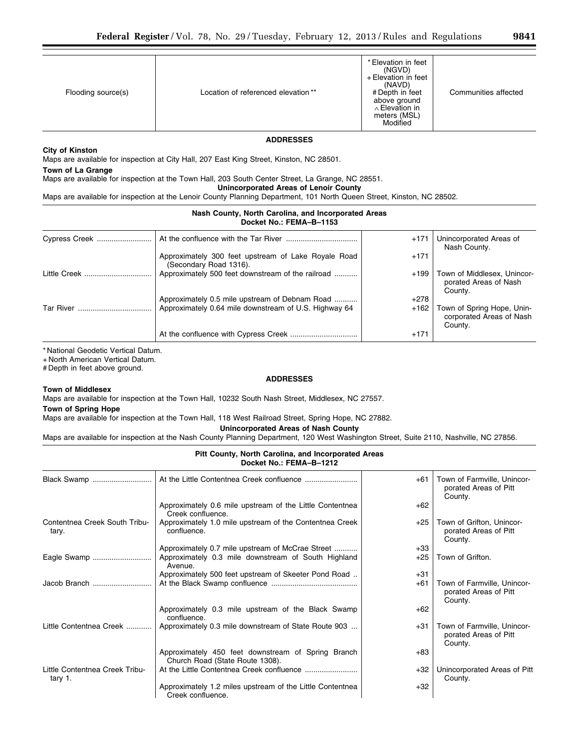| Flooding source(s) | Location of referenced elevation** | * Elevation in feet<br>(NGVD)<br>+ Elevation in feet<br>(NAVD)<br># Depth in feet<br>above ground<br>∧ Elevation in<br>meters (MSL)<br>Modified | Communities affected |
|--------------------|------------------------------------|-------------------------------------------------------------------------------------------------------------------------------------------------|----------------------|

#### **ADDRESSES**

## **City of Kinston**

Maps are available for inspection at City Hall, 207 East King Street, Kinston, NC 28501.

## **Town of La Grange**

Maps are available for inspection at the Town Hall, 203 South Center Street, La Grange, NC 28551.

## **Unincorporated Areas of Lenoir County**

Maps are available for inspection at the Lenoir County Planning Department, 101 North Queen Street, Kinston, NC 28502.

#### **Nash County, North Carolina, and Incorporated Areas Docket No.: FEMA–B–1153**

| Cypress Creek |                                                                               | $+171$ | Unincorporated Areas of<br>Nash County.                           |
|---------------|-------------------------------------------------------------------------------|--------|-------------------------------------------------------------------|
|               | Approximately 300 feet upstream of Lake Royale Road<br>(Secondary Road 1316). | $+171$ |                                                                   |
| Little Creek  | Approximately 500 feet downstream of the railroad                             | $+199$ | Town of Middlesex, Unincor-<br>porated Areas of Nash<br>County.   |
|               | Approximately 0.5 mile upstream of Debnam Road                                | $+278$ |                                                                   |
| Tar River     | Approximately 0.64 mile downstream of U.S. Highway 64                         | $+162$ | Town of Spring Hope, Unin-<br>corporated Areas of Nash<br>County. |
|               |                                                                               | $+171$ |                                                                   |

\* National Geodetic Vertical Datum.

+ North American Vertical Datum.

# Depth in feet above ground.

## **ADDRESSES**

## **Town of Middlesex**

Maps are available for inspection at the Town Hall, 10232 South Nash Street, Middlesex, NC 27557.

#### **Town of Spring Hope**

Maps are available for inspection at the Town Hall, 118 West Railroad Street, Spring Hope, NC 27882.

## **Unincorporated Areas of Nash County**

Maps are available for inspection at the Nash County Planning Department, 120 West Washington Street, Suite 2110, Nashville, NC 27856.

## **Pitt County, North Carolina, and Incorporated Areas Docket No.: FEMA–B–1212**

| Black Swamp                               |                                                                                       | +61   | Town of Farmville, Unincor-<br>porated Areas of Pitt<br>County. |
|-------------------------------------------|---------------------------------------------------------------------------------------|-------|-----------------------------------------------------------------|
|                                           | Approximately 0.6 mile upstream of the Little Contentnea<br>Creek confluence.         | $+62$ |                                                                 |
| Contentnea Creek South Tribu-<br>tary.    | Approximately 1.0 mile upstream of the Contentnea Creek<br>confluence.                | +25   | Town of Grifton, Unincor-<br>porated Areas of Pitt<br>County.   |
|                                           | Approximately 0.7 mile upstream of McCrae Street                                      | $+33$ |                                                                 |
| Eagle Swamp                               | Approximately 0.3 mile downstream of South Highland<br>Avenue.                        | +25   | Town of Grifton.                                                |
|                                           | Approximately 500 feet upstream of Skeeter Pond Road                                  | $+31$ |                                                                 |
| Jacob Branch                              |                                                                                       | +61   | Town of Farmville, Unincor-<br>porated Areas of Pitt<br>County. |
|                                           | Approximately 0.3 mile upstream of the Black Swamp<br>confluence.                     | $+62$ |                                                                 |
| Little Contentnea Creek                   | Approximately 0.3 mile downstream of State Route 903                                  | +31   | Town of Farmville, Unincor-<br>porated Areas of Pitt<br>County. |
|                                           | Approximately 450 feet downstream of Spring Branch<br>Church Road (State Route 1308). | $+83$ |                                                                 |
| Little Contentnea Creek Tribu-<br>tary 1. |                                                                                       | $+32$ | Unincorporated Areas of Pitt<br>County.                         |
|                                           | Approximately 1.2 miles upstream of the Little Contentnea<br>Creek confluence.        | $+32$ |                                                                 |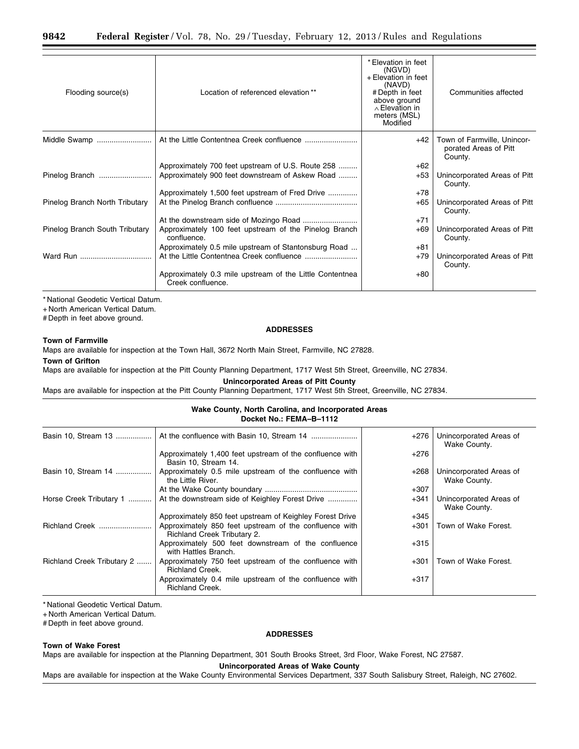| Flooding source(s)             | Location of referenced elevation**                                            | * Elevation in feet<br>(NGVD)<br>+ Elevation in feet<br>(NAVD)<br># Depth in feet<br>above ground<br>$\wedge$ Elevation in<br>meters (MSL)<br>Modified | Communities affected                                            |  |
|--------------------------------|-------------------------------------------------------------------------------|--------------------------------------------------------------------------------------------------------------------------------------------------------|-----------------------------------------------------------------|--|
| Middle Swamp                   |                                                                               | $+42$                                                                                                                                                  | Town of Farmville, Unincor-<br>porated Areas of Pitt<br>County. |  |
|                                | Approximately 700 feet upstream of U.S. Route 258                             | $+62$                                                                                                                                                  |                                                                 |  |
| Pinelog Branch                 | Approximately 900 feet downstream of Askew Road                               | +53                                                                                                                                                    | Unincorporated Areas of Pitt<br>County.                         |  |
|                                | Approximately 1,500 feet upstream of Fred Drive                               | $+78$                                                                                                                                                  |                                                                 |  |
| Pinelog Branch North Tributary |                                                                               | +65                                                                                                                                                    | Unincorporated Areas of Pitt<br>County.                         |  |
|                                |                                                                               | $+71$                                                                                                                                                  |                                                                 |  |
| Pinelog Branch South Tributary | Approximately 100 feet upstream of the Pinelog Branch<br>confluence.          | $+69$                                                                                                                                                  | Unincorporated Areas of Pitt<br>County.                         |  |
|                                | Approximately 0.5 mile upstream of Stantonsburg Road                          | $+81$                                                                                                                                                  |                                                                 |  |
|                                |                                                                               | $+79$                                                                                                                                                  | Unincorporated Areas of Pitt<br>County.                         |  |
|                                | Approximately 0.3 mile upstream of the Little Contentnea<br>Creek confluence. | $+80$                                                                                                                                                  |                                                                 |  |

+ North American Vertical Datum.

# Depth in feet above ground.

## **ADDRESSES**

Maps are available for inspection at the Town Hall, 3672 North Main Street, Farmville, NC 27828.

#### **Town of Grifton**

**Town of Farmville** 

Maps are available for inspection at the Pitt County Planning Department, 1717 West 5th Street, Greenville, NC 27834.

**Unincorporated Areas of Pitt County** 

Maps are available for inspection at the Pitt County Planning Department, 1717 West 5th Street, Greenville, NC 27834.

#### **Wake County, North Carolina, and Incorporated Areas Docket No.: FEMA–B–1112**

| Basin 10, Stream 13        |                                                                                       | $+276$ | Unincorporated Areas of<br>Wake County. |
|----------------------------|---------------------------------------------------------------------------------------|--------|-----------------------------------------|
|                            | Approximately 1,400 feet upstream of the confluence with<br>Basin 10, Stream 14.      | $+276$ |                                         |
| Basin 10, Stream 14        | Approximately 0.5 mile upstream of the confluence with<br>the Little River.           | $+268$ | Unincorporated Areas of<br>Wake County. |
|                            |                                                                                       | $+307$ |                                         |
| Horse Creek Tributary 1    | At the downstream side of Keighley Forest Drive                                       | $+341$ | Unincorporated Areas of<br>Wake County. |
|                            | Approximately 850 feet upstream of Keighley Forest Drive                              | $+345$ |                                         |
| Richland Creek             | Approximately 850 feet upstream of the confluence with<br>Richland Creek Tributary 2. | $+301$ | Town of Wake Forest.                    |
|                            | Approximately 500 feet downstream of the confluence<br>with Hattles Branch.           | $+315$ |                                         |
| Richland Creek Tributary 2 | Approximately 750 feet upstream of the confluence with<br><b>Richland Creek.</b>      | $+301$ | Town of Wake Forest.                    |
|                            | Approximately 0.4 mile upstream of the confluence with<br><b>Richland Creek.</b>      | $+317$ |                                         |

\* National Geodetic Vertical Datum.

+ North American Vertical Datum.

# Depth in feet above ground.

#### **Town of Wake Forest**

## **ADDRESSES**

Maps are available for inspection at the Planning Department, 301 South Brooks Street, 3rd Floor, Wake Forest, NC 27587.

**Unincorporated Areas of Wake County** 

Maps are available for inspection at the Wake County Environmental Services Department, 337 South Salisbury Street, Raleigh, NC 27602.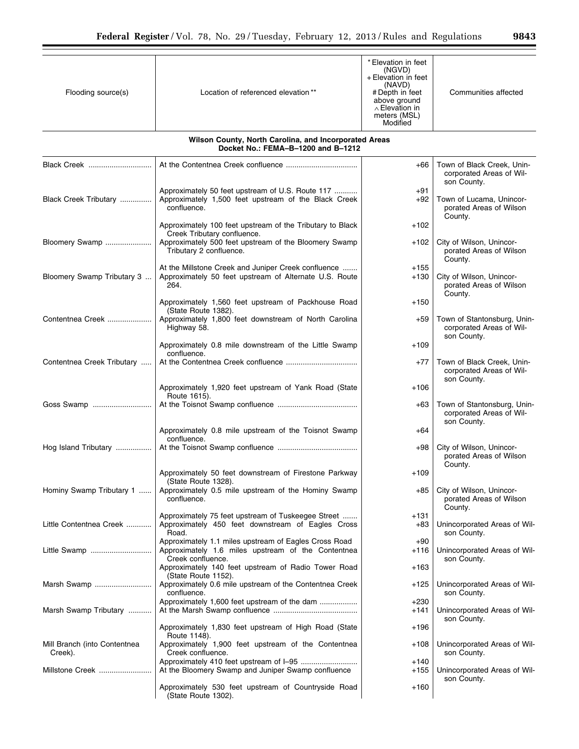Ξ

| Flooding source(s)                      | Location of referenced elevation**                                                                                               | * Elevation in feet<br>(NGVD)<br>+ Elevation in feet<br>(NAVD)<br># Depth in feet<br>above ground<br>$\wedge$ Elevation in<br>meters (MSL)<br>Modified | Communities affected                                                   |
|-----------------------------------------|----------------------------------------------------------------------------------------------------------------------------------|--------------------------------------------------------------------------------------------------------------------------------------------------------|------------------------------------------------------------------------|
|                                         | Wilson County, North Carolina, and Incorporated Areas<br>Docket No.: FEMA-B-1200 and B-1212                                      |                                                                                                                                                        |                                                                        |
| Black Creek                             |                                                                                                                                  | $+66$                                                                                                                                                  | Town of Black Creek, Unin-<br>corporated Areas of Wil-<br>son County.  |
| Black Creek Tributary                   | Approximately 50 feet upstream of U.S. Route 117<br>Approximately 1,500 feet upstream of the Black Creek<br>confluence.          | +91<br>$+92$                                                                                                                                           | Town of Lucama, Unincor-<br>porated Areas of Wilson                    |
|                                         | Approximately 100 feet upstream of the Tributary to Black<br>Creek Tributary confluence.                                         | +102                                                                                                                                                   | County.                                                                |
| Bloomery Swamp                          | Approximately 500 feet upstream of the Bloomery Swamp<br>Tributary 2 confluence.                                                 | +102                                                                                                                                                   | City of Wilson, Unincor-<br>porated Areas of Wilson<br>County.         |
| Bloomery Swamp Tributary 3              | At the Millstone Creek and Juniper Creek confluence<br>Approximately 50 feet upstream of Alternate U.S. Route<br>264.            | +155<br>+130                                                                                                                                           | City of Wilson, Unincor-<br>porated Areas of Wilson<br>County.         |
|                                         | Approximately 1,560 feet upstream of Packhouse Road<br>(State Route 1382).                                                       | +150                                                                                                                                                   |                                                                        |
| Contentnea Creek                        | Approximately 1,800 feet downstream of North Carolina<br>Highway 58.                                                             | +59                                                                                                                                                    | Town of Stantonsburg, Unin-<br>corporated Areas of Wil-<br>son County. |
|                                         | Approximately 0.8 mile downstream of the Little Swamp<br>confluence.                                                             | +109                                                                                                                                                   |                                                                        |
| Contentnea Creek Tributary              |                                                                                                                                  | $+77$                                                                                                                                                  | Town of Black Creek, Unin-<br>corporated Areas of Wil-<br>son County.  |
|                                         | Approximately 1,920 feet upstream of Yank Road (State<br>Route 1615).                                                            | +106                                                                                                                                                   |                                                                        |
| Goss Swamp                              |                                                                                                                                  | +63                                                                                                                                                    | Town of Stantonsburg, Unin-<br>corporated Areas of Wil-<br>son County. |
| Hog Island Tributary                    | Approximately 0.8 mile upstream of the Toisnot Swamp<br>confluence.                                                              | +64<br>+98                                                                                                                                             | City of Wilson, Unincor-                                               |
|                                         |                                                                                                                                  |                                                                                                                                                        | porated Areas of Wilson<br>County.                                     |
|                                         | Approximately 50 feet downstream of Firestone Parkway<br>(State Route 1328).                                                     | $+109$                                                                                                                                                 |                                                                        |
| Hominy Swamp Tributary 1                | Approximately 0.5 mile upstream of the Hominy Swamp<br>confluence.                                                               | +85                                                                                                                                                    | City of Wilson, Unincor-<br>porated Areas of Wilson<br>County.         |
| Little Contentnea Creek                 | Approximately 75 feet upstream of Tuskeegee Street<br>Approximately 450 feet downstream of Eagles Cross<br>Road.                 | +131<br>+83                                                                                                                                            | Unincorporated Areas of Wil-<br>son County.                            |
| Little Swamp                            | Approximately 1.1 miles upstream of Eagles Cross Road<br>Approximately 1.6 miles upstream of the Contentnea<br>Creek confluence. | +90<br>+116                                                                                                                                            | Unincorporated Areas of Wil-<br>son County.                            |
|                                         | Approximately 140 feet upstream of Radio Tower Road<br>(State Route 1152).                                                       | +163                                                                                                                                                   |                                                                        |
| Marsh Swamp                             | Approximately 0.6 mile upstream of the Contentnea Creek<br>confluence.                                                           | +125                                                                                                                                                   | Unincorporated Areas of Wil-<br>son County.                            |
| Marsh Swamp Tributary                   | Approximately 1,600 feet upstream of the dam                                                                                     | +230<br>+141                                                                                                                                           | Unincorporated Areas of Wil-<br>son County.                            |
|                                         | Approximately 1,830 feet upstream of High Road (State<br>Route 1148).                                                            | +196                                                                                                                                                   |                                                                        |
| Mill Branch (into Contentnea<br>Creek). | Approximately 1,900 feet upstream of the Contentnea<br>Creek confluence.                                                         | +108                                                                                                                                                   | Unincorporated Areas of Wil-<br>son County.                            |
| Millstone Creek                         | At the Bloomery Swamp and Juniper Swamp confluence                                                                               | +140<br>+155                                                                                                                                           | Unincorporated Areas of Wil-<br>son County.                            |
|                                         | Approximately 530 feet upstream of Countryside Road<br>(State Route 1302).                                                       | +160                                                                                                                                                   |                                                                        |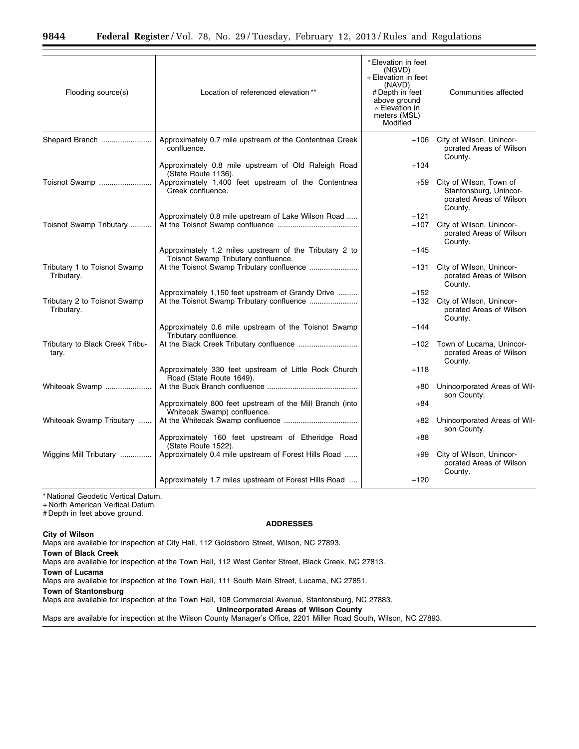| Flooding source(s)                         | Location of referenced elevation**                                                             | * Elevation in feet<br>(NGVD)<br>+ Elevation in feet<br>(NAVD)<br># Depth in feet<br>above ground<br>$\wedge$ Elevation in<br>meters (MSL)<br>Modified | Communities affected                                                                    |
|--------------------------------------------|------------------------------------------------------------------------------------------------|--------------------------------------------------------------------------------------------------------------------------------------------------------|-----------------------------------------------------------------------------------------|
| Shepard Branch                             | Approximately 0.7 mile upstream of the Contentnea Creek<br>confluence.                         | $+106$                                                                                                                                                 | City of Wilson, Unincor-<br>porated Areas of Wilson<br>County.                          |
|                                            | Approximately 0.8 mile upstream of Old Raleigh Road<br>(State Route 1136).                     | $+134$                                                                                                                                                 |                                                                                         |
| Toisnot Swamp                              | Approximately 1,400 feet upstream of the Contentnea<br>Creek confluence.                       | $+59$                                                                                                                                                  | City of Wilson, Town of<br>Stantonsburg, Unincor-<br>porated Areas of Wilson<br>County. |
| Toisnot Swamp Tributary                    | Approximately 0.8 mile upstream of Lake Wilson Road                                            | +121<br>$+107$                                                                                                                                         | City of Wilson, Unincor-<br>porated Areas of Wilson<br>County.                          |
|                                            | Approximately 1.2 miles upstream of the Tributary 2 to                                         | $+145$                                                                                                                                                 |                                                                                         |
| Tributary 1 to Toisnot Swamp<br>Tributary. | Toisnot Swamp Tributary confluence.<br>At the Toisnot Swamp Tributary confluence               | +131                                                                                                                                                   | City of Wilson, Unincor-<br>porated Areas of Wilson<br>County.                          |
| Tributary 2 to Toisnot Swamp<br>Tributary. | Approximately 1,150 feet upstream of Grandy Drive<br>At the Toisnot Swamp Tributary confluence | $+152$<br>$+132$                                                                                                                                       | City of Wilson, Unincor-<br>porated Areas of Wilson<br>County.                          |
|                                            | Approximately 0.6 mile upstream of the Toisnot Swamp<br>Tributary confluence.                  | $+144$                                                                                                                                                 |                                                                                         |
| Tributary to Black Creek Tribu-<br>tary.   | At the Black Creek Tributary confluence                                                        | +102                                                                                                                                                   | Town of Lucama, Unincor-<br>porated Areas of Wilson<br>County.                          |
|                                            | Approximately 330 feet upstream of Little Rock Church<br>Road (State Route 1649).              | $+118$                                                                                                                                                 |                                                                                         |
| Whiteoak Swamp                             |                                                                                                | $+80$                                                                                                                                                  | Unincorporated Areas of Wil-<br>son County.                                             |
|                                            | Approximately 800 feet upstream of the Mill Branch (into<br>Whiteoak Swamp) confluence.        | $+84$                                                                                                                                                  |                                                                                         |
| Whiteoak Swamp Tributary                   |                                                                                                | +82                                                                                                                                                    | Unincorporated Areas of Wil-<br>son County.                                             |
|                                            | Approximately 160 feet upstream of Etheridge Road<br>(State Route 1522).                       | $+88$                                                                                                                                                  |                                                                                         |
| Wiggins Mill Tributary                     | Approximately 0.4 mile upstream of Forest Hills Road                                           | $+99$                                                                                                                                                  | City of Wilson, Unincor-<br>porated Areas of Wilson<br>County.                          |
|                                            | Approximately 1.7 miles upstream of Forest Hills Road                                          | $+120$                                                                                                                                                 |                                                                                         |

+ North American Vertical Datum.

# Depth in feet above ground.

#### **ADDRESSES**

**City of Wilson** 

Maps are available for inspection at City Hall, 112 Goldsboro Street, Wilson, NC 27893.

**Town of Black Creek** 

Maps are available for inspection at the Town Hall, 112 West Center Street, Black Creek, NC 27813.

**Town of Lucama** 

Maps are available for inspection at the Town Hall, 111 South Main Street, Lucama, NC 27851.

**Town of Stantonsburg** 

Maps are available for inspection at the Town Hall, 108 Commercial Avenue, Stantonsburg, NC 27883.

**Unincorporated Areas of Wilson County** 

Maps are available for inspection at the Wilson County Manager's Office, 2201 Miller Road South, Wilson, NC 27893.